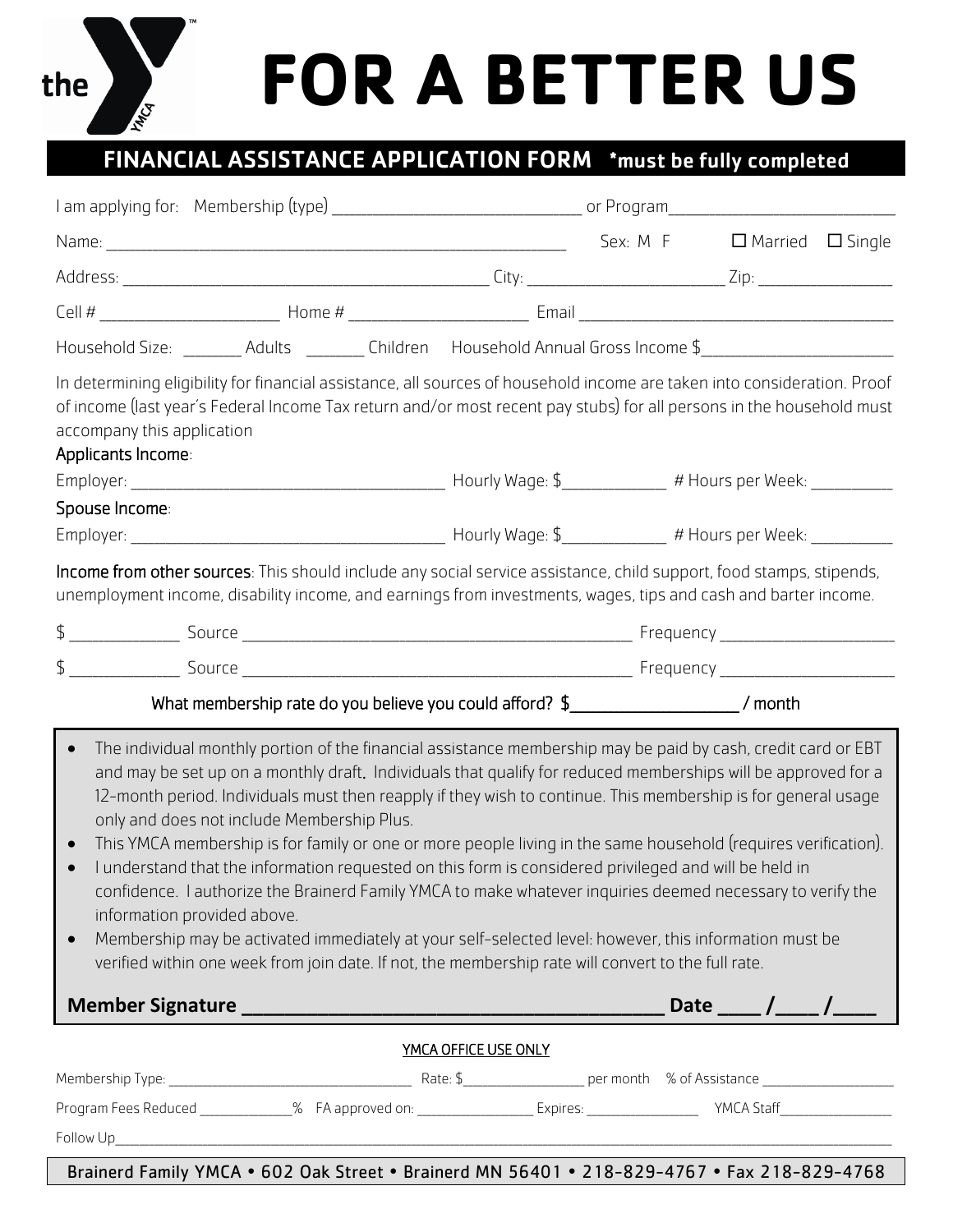## **FOR A BETTER US**

## FINANCIAL ASSISTANCE APPLICATION FORM \*must be fully completed

the

|                                                                                                                                                                                                                                                                                                                                                                                                                                                                                                                                                                                                                                                                                                                                                                                                                                                                                                                                                                                                                  |                             |                                                                                                                                                                                                                                              | $\Box$ Married $\Box$ Single |  |  |
|------------------------------------------------------------------------------------------------------------------------------------------------------------------------------------------------------------------------------------------------------------------------------------------------------------------------------------------------------------------------------------------------------------------------------------------------------------------------------------------------------------------------------------------------------------------------------------------------------------------------------------------------------------------------------------------------------------------------------------------------------------------------------------------------------------------------------------------------------------------------------------------------------------------------------------------------------------------------------------------------------------------|-----------------------------|----------------------------------------------------------------------------------------------------------------------------------------------------------------------------------------------------------------------------------------------|------------------------------|--|--|
|                                                                                                                                                                                                                                                                                                                                                                                                                                                                                                                                                                                                                                                                                                                                                                                                                                                                                                                                                                                                                  |                             |                                                                                                                                                                                                                                              |                              |  |  |
|                                                                                                                                                                                                                                                                                                                                                                                                                                                                                                                                                                                                                                                                                                                                                                                                                                                                                                                                                                                                                  |                             |                                                                                                                                                                                                                                              |                              |  |  |
| Household Size: _________ Adults _________ Children Household Annual Gross Income \$__________________________                                                                                                                                                                                                                                                                                                                                                                                                                                                                                                                                                                                                                                                                                                                                                                                                                                                                                                   |                             |                                                                                                                                                                                                                                              |                              |  |  |
| In determining eligibility for financial assistance, all sources of household income are taken into consideration. Proof<br>of income (last year's Federal Income Tax return and/or most recent pay stubs) for all persons in the household must<br>accompany this application<br>Applicants Income:                                                                                                                                                                                                                                                                                                                                                                                                                                                                                                                                                                                                                                                                                                             |                             |                                                                                                                                                                                                                                              |                              |  |  |
|                                                                                                                                                                                                                                                                                                                                                                                                                                                                                                                                                                                                                                                                                                                                                                                                                                                                                                                                                                                                                  |                             |                                                                                                                                                                                                                                              |                              |  |  |
| Spouse Income:                                                                                                                                                                                                                                                                                                                                                                                                                                                                                                                                                                                                                                                                                                                                                                                                                                                                                                                                                                                                   |                             |                                                                                                                                                                                                                                              |                              |  |  |
|                                                                                                                                                                                                                                                                                                                                                                                                                                                                                                                                                                                                                                                                                                                                                                                                                                                                                                                                                                                                                  |                             | <b>Income from other sources:</b> This should include any social service assistance, child support, food stamps, stipends,<br>unemployment income, disability income, and earnings from investments, wages, tips and cash and barter income. |                              |  |  |
|                                                                                                                                                                                                                                                                                                                                                                                                                                                                                                                                                                                                                                                                                                                                                                                                                                                                                                                                                                                                                  |                             |                                                                                                                                                                                                                                              |                              |  |  |
| The individual monthly portion of the financial assistance membership may be paid by cash, credit card or EBT<br>$\bullet$<br>and may be set up on a monthly draft. Individuals that qualify for reduced memberships will be approved for a<br>12-month period. Individuals must then reapply if they wish to continue. This membership is for general usage<br>only and does not include Membership Plus.<br>This YMCA membership is for family or one or more people living in the same household (requires verification).<br>I understand that the information requested on this form is considered privileged and will be held in<br>confidence. I authorize the Brainerd Family YMCA to make whatever inquiries deemed necessary to verify the<br>information provided above.<br>Membership may be activated immediately at your self-selected level: however, this information must be<br>$\bullet$<br>verified within one week from join date. If not, the membership rate will convert to the full rate. |                             |                                                                                                                                                                                                                                              |                              |  |  |
|                                                                                                                                                                                                                                                                                                                                                                                                                                                                                                                                                                                                                                                                                                                                                                                                                                                                                                                                                                                                                  |                             |                                                                                                                                                                                                                                              |                              |  |  |
|                                                                                                                                                                                                                                                                                                                                                                                                                                                                                                                                                                                                                                                                                                                                                                                                                                                                                                                                                                                                                  | <b>YMCA OFFICE USE ONLY</b> |                                                                                                                                                                                                                                              |                              |  |  |
|                                                                                                                                                                                                                                                                                                                                                                                                                                                                                                                                                                                                                                                                                                                                                                                                                                                                                                                                                                                                                  |                             |                                                                                                                                                                                                                                              |                              |  |  |
|                                                                                                                                                                                                                                                                                                                                                                                                                                                                                                                                                                                                                                                                                                                                                                                                                                                                                                                                                                                                                  |                             |                                                                                                                                                                                                                                              |                              |  |  |